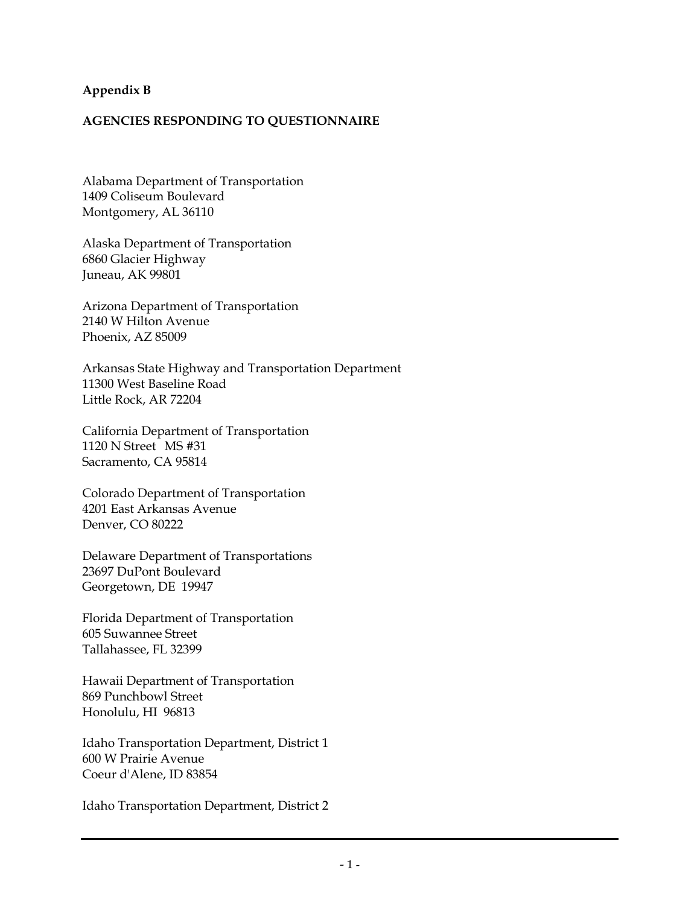## **Appendix B**

## **AGENCIES RESPONDING TO QUESTIONNAIRE**

Alabama Department of Transportation 1409 Coliseum Boulevard Montgomery, AL 36110

Alaska Department of Transportation 6860 Glacier Highway Juneau, AK 99801

Arizona Department of Transportation 2140 W Hilton Avenue Phoenix, AZ 85009

Arkansas State Highway and Transportation Department 11300 West Baseline Road Little Rock, AR 72204

California Department of Transportation 1120 N Street MS #31 Sacramento, CA 95814

Colorado Department of Transportation 4201 East Arkansas Avenue Denver, CO 80222

Delaware Department of Transportations 23697 DuPont Boulevard Georgetown, DE 19947

Florida Department of Transportation 605 Suwannee Street Tallahassee, FL 32399

Hawaii Department of Transportation 869 Punchbowl Street Honolulu, HI 96813

Idaho Transportation Department, District 1 600 W Prairie Avenue Coeur d'Alene, ID 83854

Idaho Transportation Department, District 2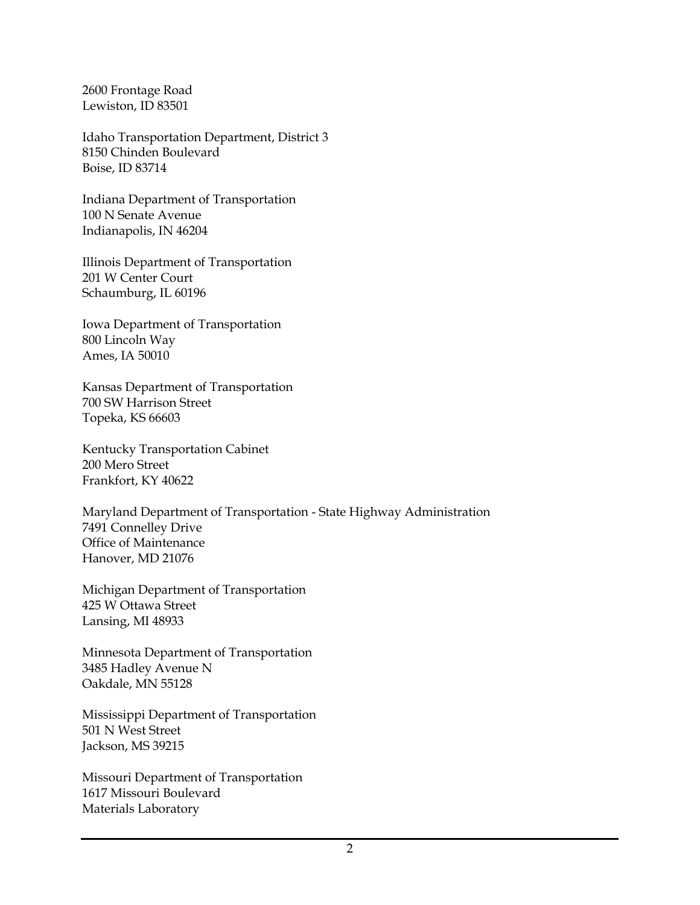2600 Frontage Road Lewiston, ID 83501

Idaho Transportation Department, District 3 8150 Chinden Boulevard Boise, ID 83714

Indiana Department of Transportation 100 N Senate Avenue Indianapolis, IN 46204

Illinois Department of Transportation 201 W Center Court Schaumburg, IL 60196

Iowa Department of Transportation 800 Lincoln Way Ames, IA 50010

Kansas Department of Transportation 700 SW Harrison Street Topeka, KS 66603

Kentucky Transportation Cabinet 200 Mero Street Frankfort, KY 40622

Maryland Department of Transportation - State Highway Administration 7491 Connelley Drive Office of Maintenance Hanover, MD 21076

Michigan Department of Transportation 425 W Ottawa Street Lansing, MI 48933

Minnesota Department of Transportation 3485 Hadley Avenue N Oakdale, MN 55128

Mississippi Department of Transportation 501 N West Street Jackson, MS 39215

Missouri Department of Transportation 1617 Missouri Boulevard Materials Laboratory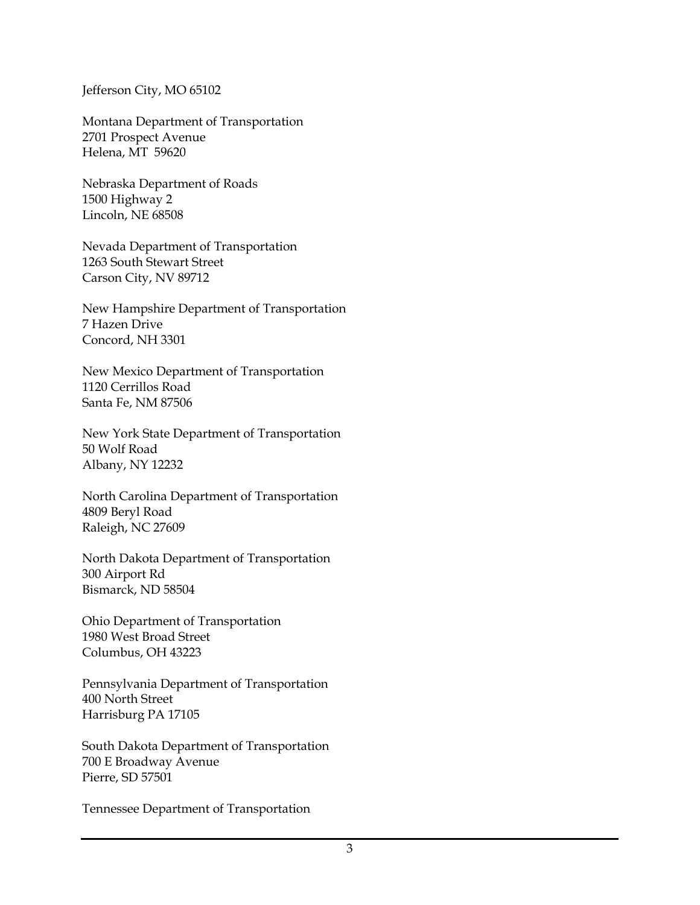Jefferson City, MO 65102

Montana Department of Transportation 2701 Prospect Avenue Helena, MT 59620

Nebraska Department of Roads 1500 Highway 2 Lincoln, NE 68508

Nevada Department of Transportation 1263 South Stewart Street Carson City, NV 89712

New Hampshire Department of Transportation 7 Hazen Drive Concord, NH 3301

New Mexico Department of Transportation 1120 Cerrillos Road Santa Fe, NM 87506

New York State Department of Transportation 50 Wolf Road Albany, NY 12232

North Carolina Department of Transportation 4809 Beryl Road Raleigh, NC 27609

North Dakota Department of Transportation 300 Airport Rd Bismarck, ND 58504

Ohio Department of Transportation 1980 West Broad Street Columbus, OH 43223

Pennsylvania Department of Transportation 400 North Street Harrisburg PA 17105

South Dakota Department of Transportation 700 E Broadway Avenue Pierre, SD 57501

Tennessee Department of Transportation